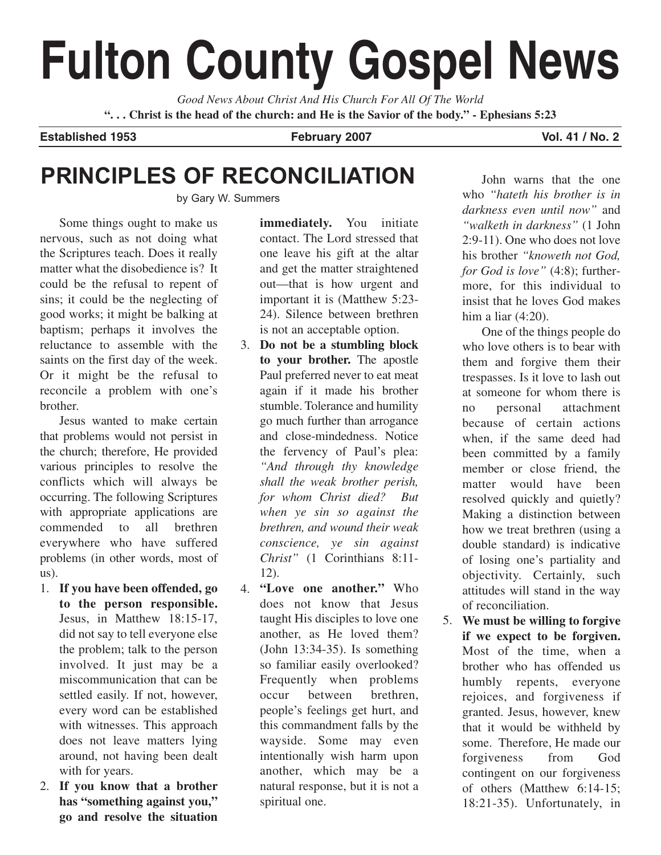# **Fulton County Gospel News**

*Good News About Christ And His Church For All Of The World* **". . . Christ is the head of the church: and He is the Savior of the body." - Ephesians 5:23**

Established 1953 **February 2007 February 2007** Vol. 41 / No. 2

## **PRINCIPLES OF RECONCILIATION**

by Gary W. Summers

Some things ought to make us nervous, such as not doing what the Scriptures teach. Does it really matter what the disobedience is? It could be the refusal to repent of sins; it could be the neglecting of good works; it might be balking at baptism; perhaps it involves the reluctance to assemble with the saints on the first day of the week. Or it might be the refusal to reconcile a problem with one's brother.

Jesus wanted to make certain that problems would not persist in the church; therefore, He provided various principles to resolve the conflicts which will always be occurring. The following Scriptures with appropriate applications are commended to all brethren everywhere who have suffered problems (in other words, most of us).

- **If you have been offended, go** 1. **to the person responsible.** Jesus, in Matthew 18:15-17, did not say to tell everyone else the problem; talk to the person involved. It just may be a miscommunication that can be settled easily. If not, however, every word can be established with witnesses. This approach does not leave matters lying around, not having been dealt with for years.
- **If you know that a brother** 2. **has "something against you," go and resolve the situation**

**immediately.** You initiate contact. The Lord stressed that one leave his gift at the altar and get the matter straightened out—that is how urgent and important it is (Matthew 5:23- 24). Silence between brethren is not an acceptable option.

- **Do not be a stumbling block** 3. **to your brother.** The apostle Paul preferred never to eat meat again if it made his brother stumble. Tolerance and humility go much further than arrogance and close-mindedness. Notice the fervency of Paul's plea: *"And through thy knowledge shall the weak brother perish, for whom Christ died? But when ye sin so against the brethren, and wound their weak conscience, ye sin against Christ"* (1 Corinthians 8:11- 12).
- **"Love one another."** Who 4. does not know that Jesus taught His disciples to love one another, as He loved them? (John 13:34-35). Is something so familiar easily overlooked? Frequently when problems occur between brethren, people's feelings get hurt, and this commandment falls by the wayside. Some may even intentionally wish harm upon another, which may be a natural response, but it is not a spiritual one.

John warns that the one who *"hateth his brother is in darkness even until now"* and *"walketh in darkness"* (1 John 2:9-11). One who does not love his brother *"knoweth not God, for God is love"* (4:8); furthermore, for this individual to insist that he loves God makes him a liar (4:20).

One of the things people do who love others is to bear with them and forgive them their trespasses. Is it love to lash out at someone for whom there is no personal attachment because of certain actions when, if the same deed had been committed by a family member or close friend, the matter would have been resolved quickly and quietly? Making a distinction between how we treat brethren (using a double standard) is indicative of losing one's partiality and objectivity. Certainly, such attitudes will stand in the way of reconciliation.

**We must be willing to forgive** 5. **if we expect to be forgiven.** Most of the time, when a brother who has offended us humbly repents, everyone rejoices, and forgiveness if granted. Jesus, however, knew that it would be withheld by some. Therefore, He made our forgiveness from God contingent on our forgiveness of others (Matthew 6:14-15; 18:21-35). Unfortunately, in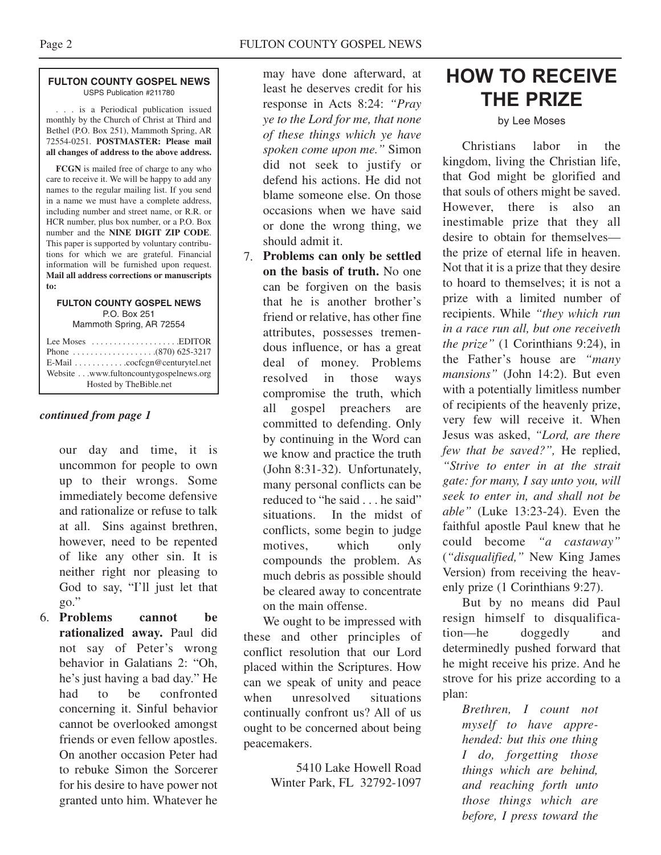#### **FULTON COUNTY GOSPEL NEWS** USPS Publication #211780

. . . is a Periodical publication issued monthly by the Church of Christ at Third and Bethel (P.O. Box 251), Mammoth Spring, AR 72554-0251. **POSTMASTER: Please mail all changes of address to the above address.**

**FCGN** is mailed free of charge to any who care to receive it. We will be happy to add any names to the regular mailing list. If you send in a name we must have a complete address, including number and street name, or R.R. or HCR number, plus box number, or a P.O. Box number and the **NINE DIGIT ZIP CODE**. This paper is supported by voluntary contributions for which we are grateful. Financial information will be furnished upon request. **Mail all address corrections or manuscripts to:**

#### **FULTON COUNTY GOSPEL NEWS** P.O. Box 251

Mammoth Spring, AR 72554

#### *continued from page 1*

our day and time, it is uncommon for people to own up to their wrongs. Some immediately become defensive and rationalize or refuse to talk at all. Sins against brethren, however, need to be repented of like any other sin. It is neither right nor pleasing to God to say, "I'll just let that go."

**Problems cannot be** 6. **rationalized away.** Paul did not say of Peter's wrong behavior in Galatians 2: "Oh, he's just having a bad day." He had to be confronted concerning it. Sinful behavior cannot be overlooked amongst friends or even fellow apostles. On another occasion Peter had to rebuke Simon the Sorcerer for his desire to have power not granted unto him. Whatever he may have done afterward, at least he deserves credit for his response in Acts 8:24: *"Pray ye to the Lord for me, that none of these things which ye have spoken come upon me."* Simon did not seek to justify or defend his actions. He did not blame someone else. On those occasions when we have said or done the wrong thing, we should admit it.

**Problems can only be settled** 7. **on the basis of truth.** No one can be forgiven on the basis that he is another brother's friend or relative, has other fine attributes, possesses tremendous influence, or has a great deal of money. Problems resolved in those ways compromise the truth, which all gospel preachers are committed to defending. Only by continuing in the Word can we know and practice the truth (John 8:31-32). Unfortunately, many personal conflicts can be reduced to "he said . . . he said" situations. In the midst of conflicts, some begin to judge motives, which only compounds the problem. As much debris as possible should be cleared away to concentrate on the main offense.

We ought to be impressed with these and other principles of conflict resolution that our Lord placed within the Scriptures. How can we speak of unity and peace when unresolved situations continually confront us? All of us ought to be concerned about being peacemakers.

> 5410 Lake Howell Road Winter Park, FL 32792-1097

### **HOW TO RECEIVE THE PRIZE**

#### by Lee Moses

Christians labor in the kingdom, living the Christian life, that God might be glorified and that souls of others might be saved. However, there is also an inestimable prize that they all desire to obtain for themselves the prize of eternal life in heaven. Not that it is a prize that they desire to hoard to themselves; it is not a prize with a limited number of recipients. While *"they which run in a race run all, but one receiveth the prize"* (1 Corinthians 9:24), in the Father's house are *"many mansions"* (John 14:2). But even with a potentially limitless number of recipients of the heavenly prize, very few will receive it. When Jesus was asked, *"Lord, are there few that be saved?",* He replied, *"Strive to enter in at the strait gate: for many, I say unto you, will seek to enter in, and shall not be able"* (Luke 13:23-24). Even the faithful apostle Paul knew that he could become *"a castaway"* (*"disqualified,"* New King James Version) from receiving the heavenly prize (1 Corinthians 9:27).

But by no means did Paul resign himself to disqualification—he doggedly and determinedly pushed forward that he might receive his prize. And he strove for his prize according to a plan:

*Brethren, I count not myself to have apprehended: but this one thing I do, forgetting those things which are behind, and reaching forth unto those things which are before, I press toward the*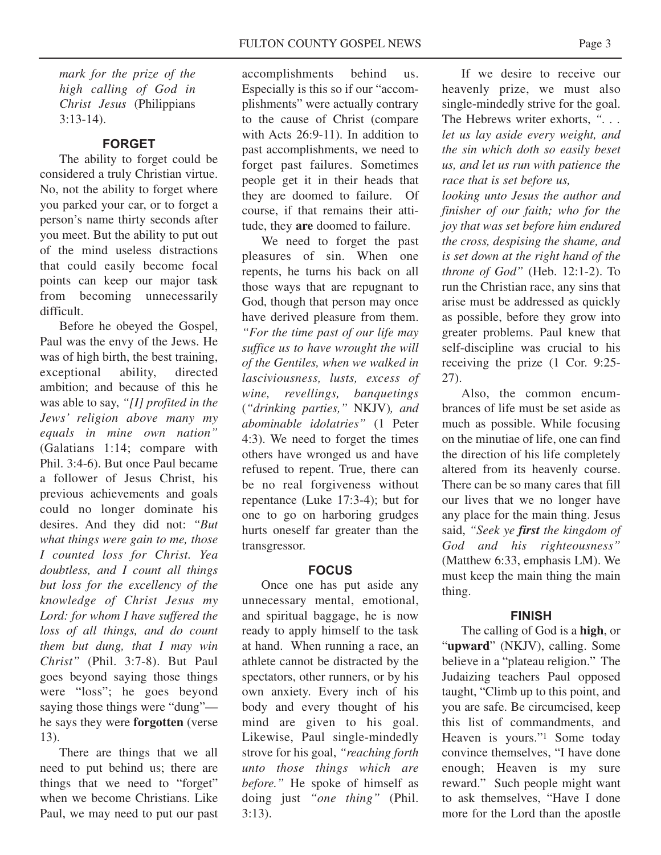*mark for the prize of the high calling of God in Christ Jesus* (Philippians 3:13-14).

#### **FORGET**

The ability to forget could be considered a truly Christian virtue. No, not the ability to forget where you parked your car, or to forget a person's name thirty seconds after you meet. But the ability to put out of the mind useless distractions that could easily become focal points can keep our major task from becoming unnecessarily difficult.

Before he obeyed the Gospel, Paul was the envy of the Jews. He was of high birth, the best training, exceptional ability, directed ambition; and because of this he was able to say, *"[I] profited in the Jews' religion above many my equals in mine own nation"* (Galatians 1:14; compare with Phil. 3:4-6). But once Paul became a follower of Jesus Christ, his previous achievements and goals could no longer dominate his desires. And they did not: *"But what things were gain to me, those I counted loss for Christ. Yea doubtless, and I count all things but loss for the excellency of the knowledge of Christ Jesus my Lord: for whom I have suffered the loss of all things, and do count them but dung, that I may win Christ"* (Phil. 3:7-8). But Paul goes beyond saying those things were "loss"; he goes beyond saying those things were "dung" he says they were **forgotten** (verse 13).

There are things that we all need to put behind us; there are things that we need to "forget" when we become Christians. Like Paul, we may need to put our past accomplishments behind us. Especially is this so if our "accomplishments" were actually contrary to the cause of Christ (compare with Acts 26:9-11). In addition to past accomplishments, we need to forget past failures. Sometimes people get it in their heads that they are doomed to failure. Of course, if that remains their attitude, they **are** doomed to failure.

We need to forget the past pleasures of sin. When one repents, he turns his back on all those ways that are repugnant to God, though that person may once have derived pleasure from them. *"For the time past of our life may suffice us to have wrought the will of the Gentiles, when we walked in lasciviousness, lusts, excess of wine, revellings, banquetings* (*"drinking parties,"* NKJV)*, and abominable idolatries"* (1 Peter 4:3). We need to forget the times others have wronged us and have refused to repent. True, there can be no real forgiveness without repentance (Luke 17:3-4); but for one to go on harboring grudges hurts oneself far greater than the transgressor.

#### **FOCUS**

Once one has put aside any unnecessary mental, emotional, and spiritual baggage, he is now ready to apply himself to the task at hand. When running a race, an athlete cannot be distracted by the spectators, other runners, or by his own anxiety. Every inch of his body and every thought of his mind are given to his goal. Likewise, Paul single-mindedly strove for his goal, *"reaching forth unto those things which are before."* He spoke of himself as doing just *"one thing"* (Phil. 3:13).

If we desire to receive our heavenly prize, we must also single-mindedly strive for the goal. The Hebrews writer exhorts, *". . . let us lay aside every weight, and the sin which doth so easily beset us, and let us run with patience the race that is set before us,*

*looking unto Jesus the author and finisher of our faith; who for the joy that was set before him endured the cross, despising the shame, and is set down at the right hand of the throne of God"* (Heb. 12:1-2). To run the Christian race, any sins that arise must be addressed as quickly as possible, before they grow into greater problems. Paul knew that self-discipline was crucial to his receiving the prize (1 Cor. 9:25- 27).

Also, the common encumbrances of life must be set aside as much as possible. While focusing on the minutiae of life, one can find the direction of his life completely altered from its heavenly course. There can be so many cares that fill our lives that we no longer have any place for the main thing. Jesus said, *"Seek ye first the kingdom of God and his righteousness"* (Matthew 6:33, emphasis LM). We must keep the main thing the main thing.

#### **FINISH**

The calling of God is a **high**, or "**upward**" (NKJV), calling. Some believe in a "plateau religion." The Judaizing teachers Paul opposed taught, "Climb up to this point, and you are safe. Be circumcised, keep this list of commandments, and Heaven is yours."1 Some today convince themselves, "I have done enough; Heaven is my sure reward." Such people might want to ask themselves, "Have I done more for the Lord than the apostle